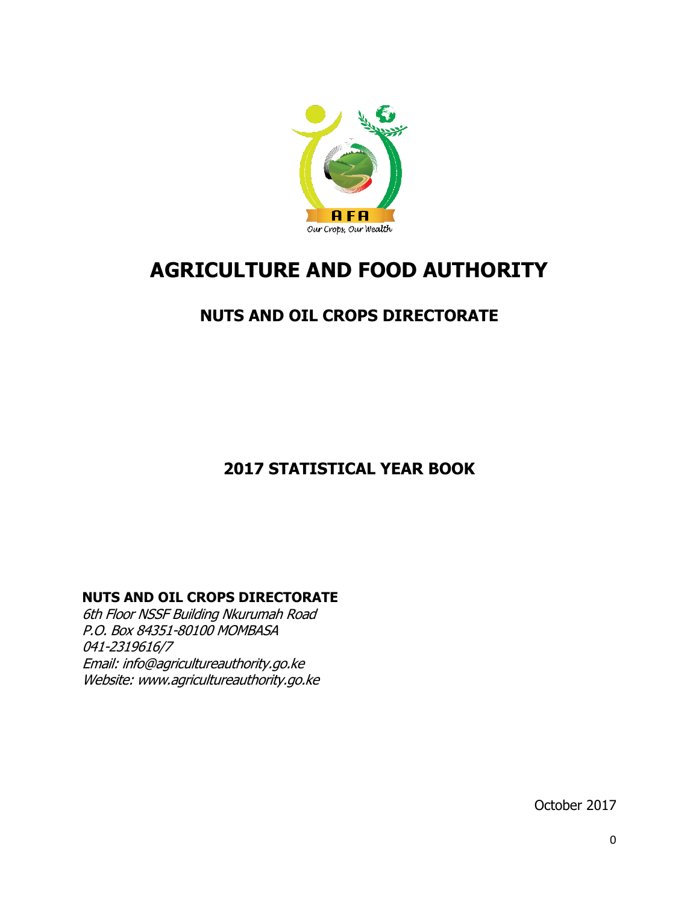

# **AGRICULTURE AND FOOD AUTHORITY**

## **NUTS AND OIL CROPS DIRECTORATE**

## **2017 STATISTICAL YEAR BOOK**

## **NUTS AND OIL CROPS DIRECTORATE**

6th Floor NSSF Building Nkurumah Road P.O. Box 84351-80100 MOMBASA 041-2319616/7 Email: [info@agricultureauthority.go.ke](mailto:info@agricultureauthority.go.ke) Website: www.agricultureauthority.go.ke

October 2017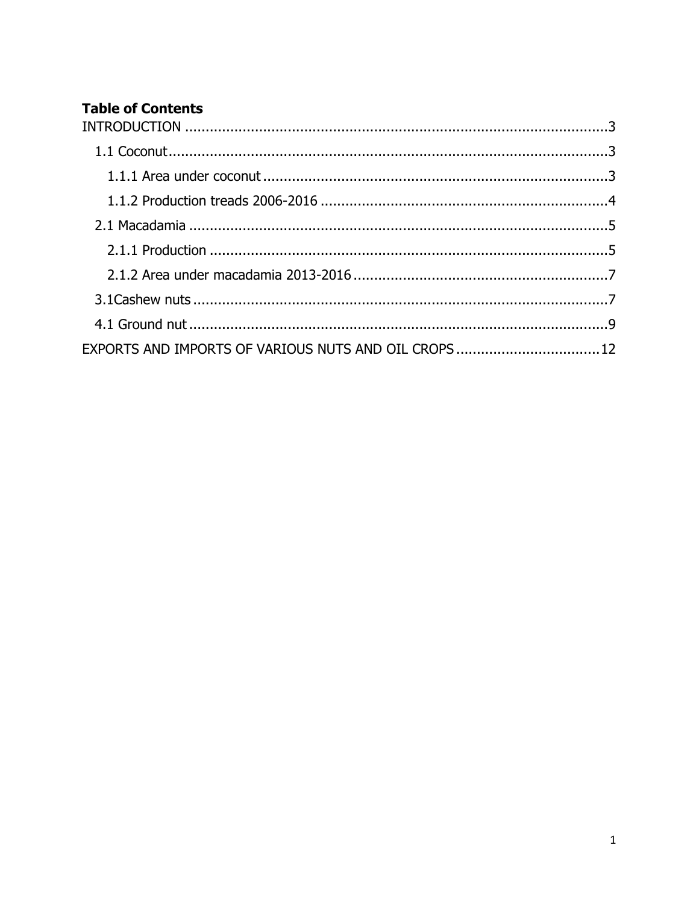## **Table of Contents**

| EXPORTS AND IMPORTS OF VARIOUS NUTS AND OIL CROPS 12 |  |
|------------------------------------------------------|--|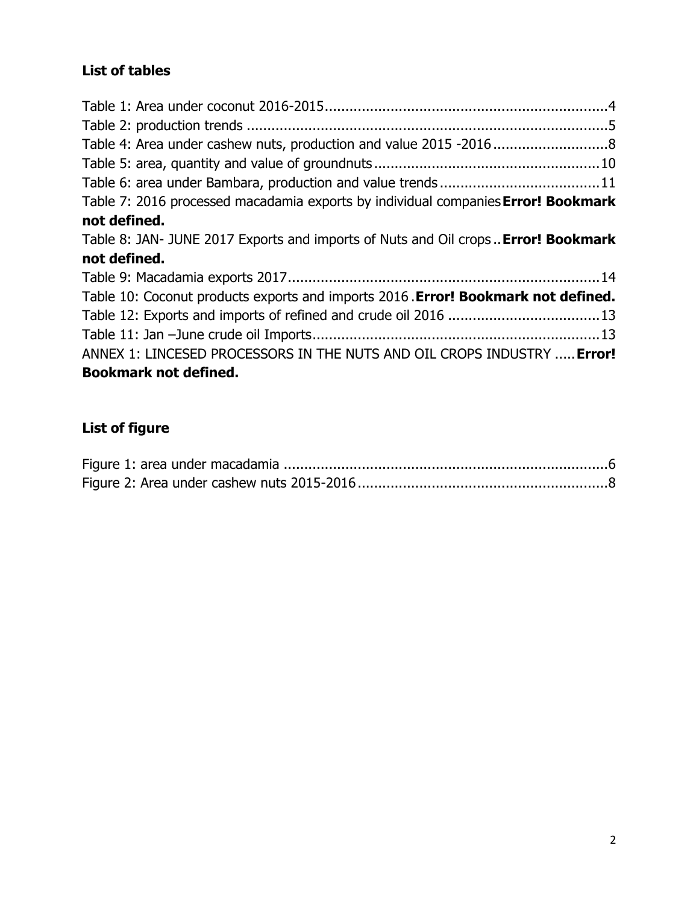## **List of tables**

| Table 4: Area under cashew nuts, production and value 2015 -20168                 |  |
|-----------------------------------------------------------------------------------|--|
|                                                                                   |  |
|                                                                                   |  |
| Table 7: 2016 processed macadamia exports by individual companies Error! Bookmark |  |
| not defined.                                                                      |  |
| Table 8: JAN- JUNE 2017 Exports and imports of Nuts and Oil crops Error! Bookmark |  |
| not defined.                                                                      |  |
|                                                                                   |  |
| Table 10: Coconut products exports and imports 2016. Error! Bookmark not defined. |  |
| Table 12: Exports and imports of refined and crude oil 2016 13                    |  |
|                                                                                   |  |
| ANNEX 1: LINCESED PROCESSORS IN THE NUTS AND OIL CROPS INDUSTRY  Error!           |  |
| <b>Bookmark not defined.</b>                                                      |  |

## **List of figure**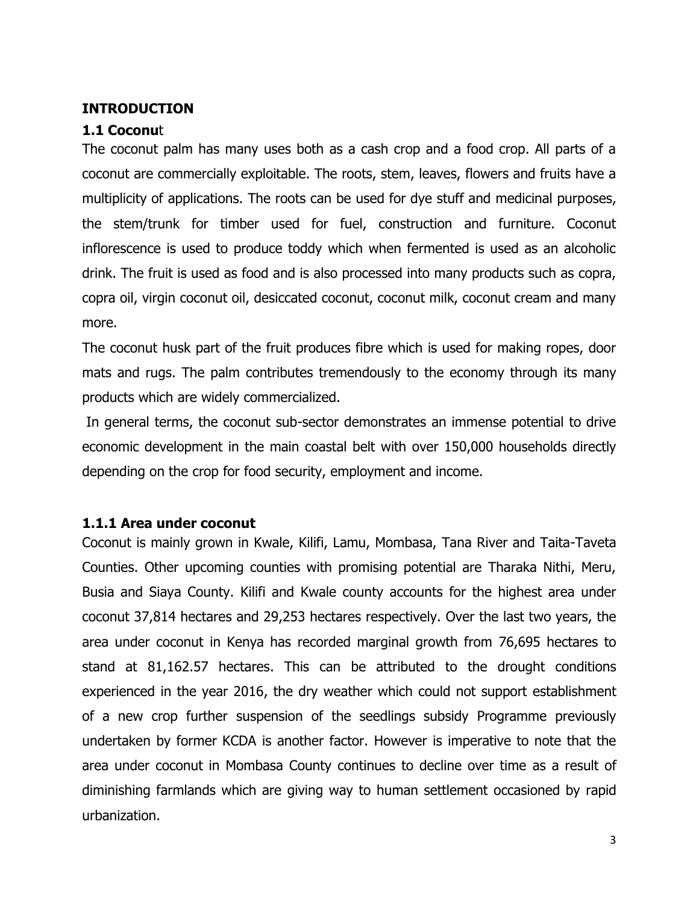#### <span id="page-3-0"></span>**INTRODUCTION**

#### <span id="page-3-1"></span>**1.1 Coconu**t

The coconut palm has many uses both as a cash crop and a food crop. All parts of a coconut are commercially exploitable. The roots, stem, leaves, flowers and fruits have a multiplicity of applications. The roots can be used for dye stuff and medicinal purposes, the stem/trunk for timber used for fuel, construction and furniture. Coconut inflorescence is used to produce toddy which when fermented is used as an alcoholic drink. The fruit is used as food and is also processed into many products such as copra, copra oil, virgin coconut oil, desiccated coconut, coconut milk, coconut cream and many more.

The coconut husk part of the fruit produces fibre which is used for making ropes, door mats and rugs. The palm contributes tremendously to the economy through its many products which are widely commercialized.

In general terms, the coconut sub-sector demonstrates an immense potential to drive economic development in the main coastal belt with over 150,000 households directly depending on the crop for food security, employment and income.

#### <span id="page-3-2"></span>**1.1.1 Area under coconut**

Coconut is mainly grown in Kwale, Kilifi, Lamu, Mombasa, Tana River and Taita-Taveta Counties. Other upcoming counties with promising potential are Tharaka Nithi, Meru, Busia and Siaya County. Kilifi and Kwale county accounts for the highest area under coconut 37,814 hectares and 29,253 hectares respectively. Over the last two years, the area under coconut in Kenya has recorded marginal growth from 76,695 hectares to stand at 81,162.57 hectares. This can be attributed to the drought conditions experienced in the year 2016, the dry weather which could not support establishment of a new crop further suspension of the seedlings subsidy Programme previously undertaken by former KCDA is another factor. However is imperative to note that the area under coconut in Mombasa County continues to decline over time as a result of diminishing farmlands which are giving way to human settlement occasioned by rapid urbanization.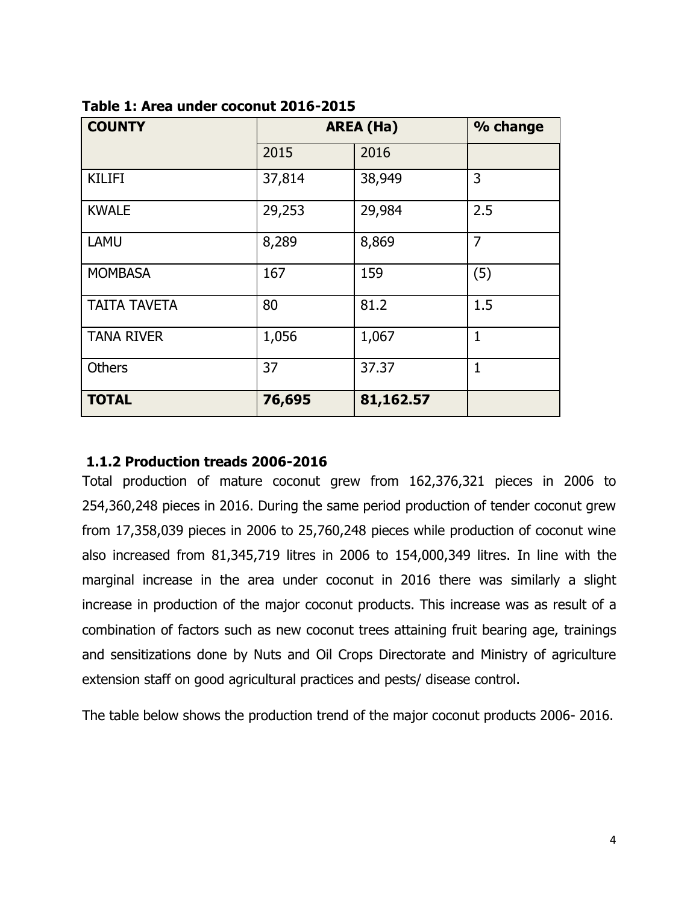| <b>COUNTY</b>       |        | <b>AREA (Ha)</b> | % change       |
|---------------------|--------|------------------|----------------|
|                     | 2015   | 2016             |                |
| <b>KILIFI</b>       | 37,814 | 38,949           | 3              |
| <b>KWALE</b>        | 29,253 | 29,984           | 2.5            |
| <b>LAMU</b>         | 8,289  | 8,869            | $\overline{7}$ |
| <b>MOMBASA</b>      | 167    | 159              | (5)            |
| <b>TAITA TAVETA</b> | 80     | 81.2             | 1.5            |
| <b>TANA RIVER</b>   | 1,056  | 1,067            | $\mathbf{1}$   |
| <b>Others</b>       | 37     | 37.37            | 1              |
| <b>TOTAL</b>        | 76,695 | 81,162.57        |                |

<span id="page-4-1"></span>

| Table 1: Area under coconut 2016-2015 |  |
|---------------------------------------|--|
|---------------------------------------|--|

#### <span id="page-4-0"></span>**1.1.2 Production treads 2006-2016**

Total production of mature coconut grew from 162,376,321 pieces in 2006 to 254,360,248 pieces in 2016. During the same period production of tender coconut grew from 17,358,039 pieces in 2006 to 25,760,248 pieces while production of coconut wine also increased from 81,345,719 litres in 2006 to 154,000,349 litres. In line with the marginal increase in the area under coconut in 2016 there was similarly a slight increase in production of the major coconut products. This increase was as result of a combination of factors such as new coconut trees attaining fruit bearing age, trainings and sensitizations done by Nuts and Oil Crops Directorate and Ministry of agriculture extension staff on good agricultural practices and pests/ disease control.

The table below shows the production trend of the major coconut products 2006- 2016.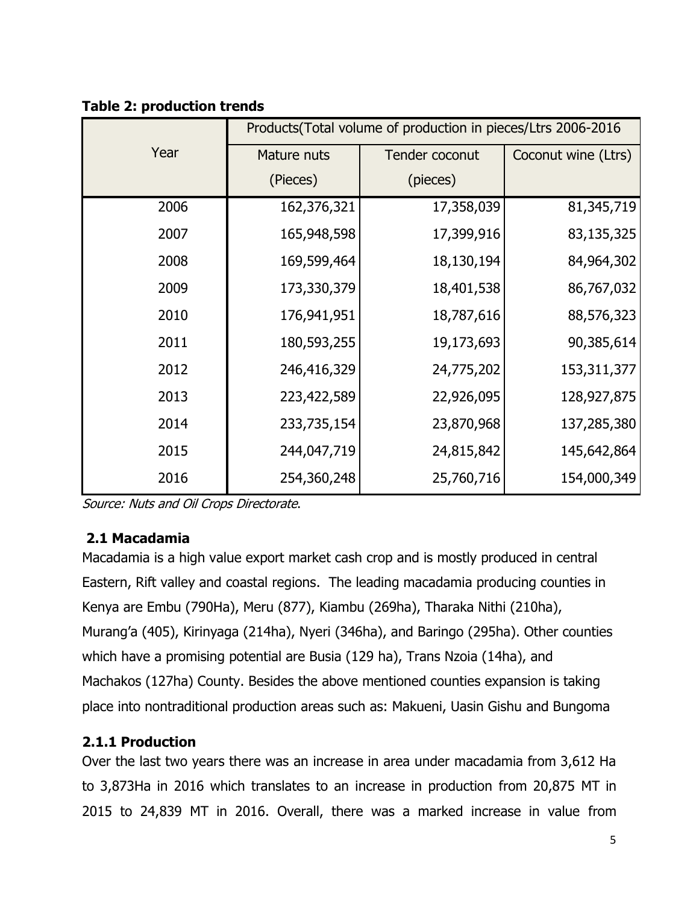|      |             | Products(Total volume of production in pieces/Ltrs 2006-2016 |                     |
|------|-------------|--------------------------------------------------------------|---------------------|
| Year | Mature nuts | Tender coconut                                               | Coconut wine (Ltrs) |
|      | (Pieces)    | (pieces)                                                     |                     |
| 2006 | 162,376,321 | 17,358,039                                                   | 81,345,719          |
| 2007 | 165,948,598 | 17,399,916                                                   | 83,135,325          |
| 2008 | 169,599,464 | 18,130,194                                                   | 84,964,302          |
| 2009 | 173,330,379 | 18,401,538                                                   | 86,767,032          |
| 2010 | 176,941,951 | 18,787,616                                                   | 88,576,323          |
| 2011 | 180,593,255 | 19,173,693                                                   | 90,385,614          |
| 2012 | 246,416,329 | 24,775,202                                                   | 153, 311, 377       |
| 2013 | 223,422,589 | 22,926,095                                                   | 128,927,875         |
| 2014 | 233,735,154 | 23,870,968                                                   | 137,285,380         |
| 2015 | 244,047,719 | 24,815,842                                                   | 145,642,864         |
| 2016 | 254,360,248 | 25,760,716                                                   | 154,000,349         |

#### <span id="page-5-2"></span>**Table 2: production trends**

Source: Nuts and Oil Crops Directorate.

## <span id="page-5-0"></span>**2.1 Macadamia**

Macadamia is a high value export market cash crop and is mostly produced in central Eastern, Rift valley and coastal regions. The leading macadamia producing counties in Kenya are Embu (790Ha), Meru (877), Kiambu (269ha), Tharaka Nithi (210ha), Murang'a (405), Kirinyaga (214ha), Nyeri (346ha), and Baringo (295ha). Other counties which have a promising potential are Busia (129 ha), Trans Nzoia (14ha), and Machakos (127ha) County. Besides the above mentioned counties expansion is taking place into nontraditional production areas such as: Makueni, Uasin Gishu and Bungoma

## <span id="page-5-1"></span>**2.1.1 Production**

Over the last two years there was an increase in area under macadamia from 3,612 Ha to 3,873Ha in 2016 which translates to an increase in production from 20,875 MT in 2015 to 24,839 MT in 2016. Overall, there was a marked increase in value from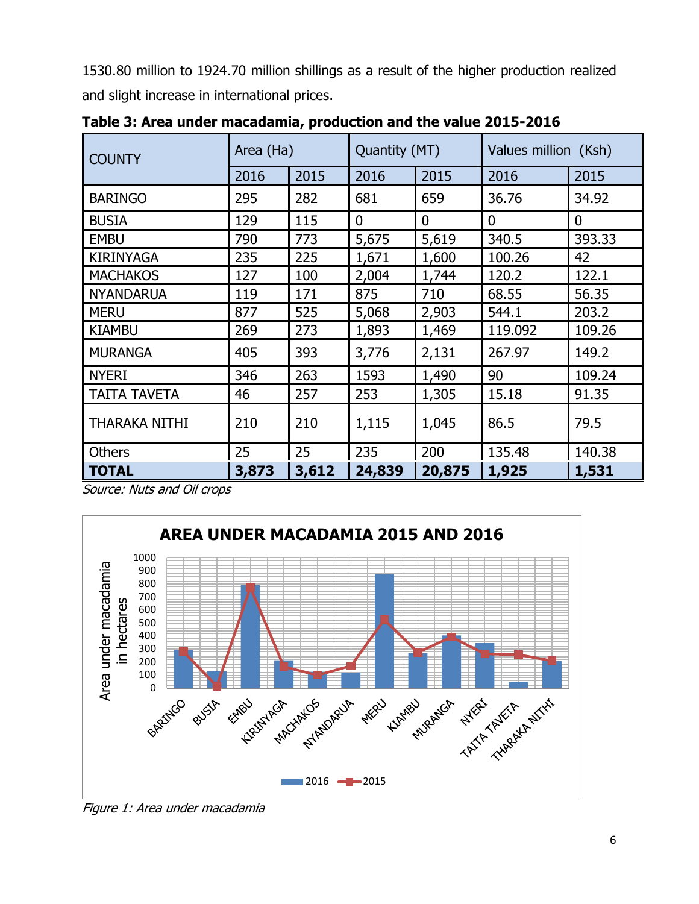1530.80 million to 1924.70 million shillings as a result of the higher production realized and slight increase in international prices.

| <b>COUNTY</b>        | Area (Ha) |       | Quantity (MT) |              | Values million (Ksh) |             |
|----------------------|-----------|-------|---------------|--------------|----------------------|-------------|
|                      | 2016      | 2015  | 2016          | 2015         | 2016                 | 2015        |
| <b>BARINGO</b>       | 295       | 282   | 681           | 659          | 36.76                | 34.92       |
| <b>BUSIA</b>         | 129       | 115   | $\mathbf{0}$  | $\mathbf{0}$ | $\mathbf{0}$         | $\mathbf 0$ |
| <b>EMBU</b>          | 790       | 773   | 5,675         | 5,619        | 340.5                | 393.33      |
| <b>KIRINYAGA</b>     | 235       | 225   | 1,671         | 1,600        | 100.26               | 42          |
| <b>MACHAKOS</b>      | 127       | 100   | 2,004         | 1,744        | 120.2                | 122.1       |
| <b>NYANDARUA</b>     | 119       | 171   | 875           | 710          | 68.55                | 56.35       |
| <b>MERU</b>          | 877       | 525   | 5,068         | 2,903        | 544.1                | 203.2       |
| <b>KIAMBU</b>        | 269       | 273   | 1,893         | 1,469        | 119.092              | 109.26      |
| <b>MURANGA</b>       | 405       | 393   | 3,776         | 2,131        | 267.97               | 149.2       |
| <b>NYERI</b>         | 346       | 263   | 1593          | 1,490        | 90                   | 109.24      |
| <b>TAITA TAVETA</b>  | 46        | 257   | 253           | 1,305        | 15.18                | 91.35       |
| <b>THARAKA NITHI</b> | 210       | 210   | 1,115         | 1,045        | 86.5                 | 79.5        |
| <b>Others</b>        | 25        | 25    | 235           | 200          | 135.48               | 140.38      |
| <b>TOTAL</b>         | 3,873     | 3,612 | 24,839        | 20,875       | 1,925                | 1,531       |

**Table 3: Area under macadamia, production and the value 2015-2016**

<span id="page-6-1"></span>Source: Nuts and Oil crops



<span id="page-6-0"></span>Figure 1: Area under macadamia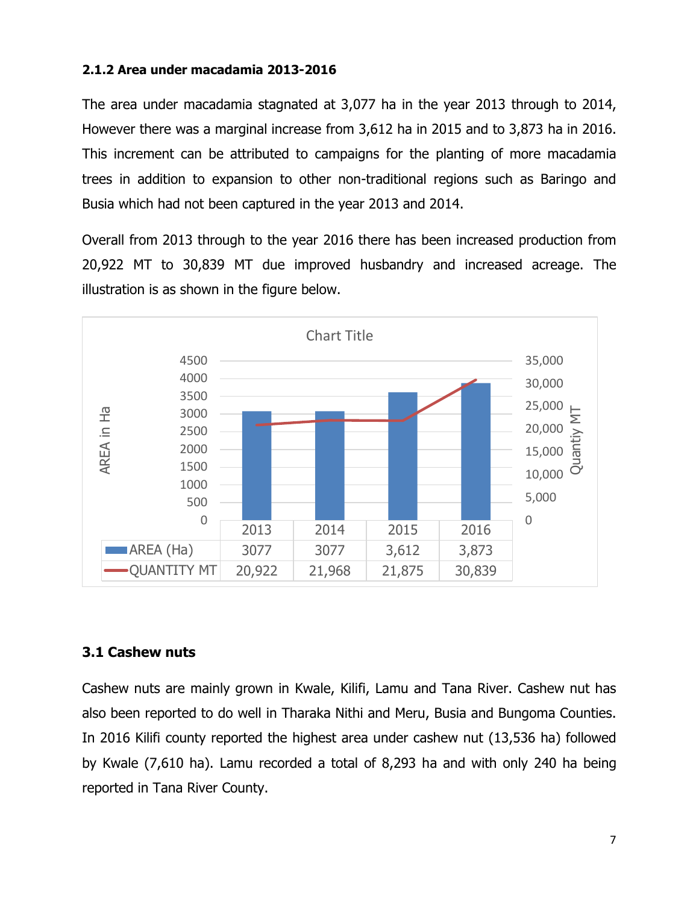#### **2.1.2 Area under macadamia 2013-2016**

The area under macadamia stagnated at 3,077 ha in the year 2013 through to 2014, However there was a marginal increase from 3,612 ha in 2015 and to 3,873 ha in 2016. This increment can be attributed to campaigns for the planting of more macadamia trees in addition to expansion to other non-traditional regions such as Baringo and Busia which had not been captured in the year 2013 and 2014.

Overall from 2013 through to the year 2016 there has been increased production from 20,922 MT to 30,839 MT due improved husbandry and increased acreage. The illustration is as shown in the figure below.



#### <span id="page-7-0"></span>**3.1 Cashew nuts**

Cashew nuts are mainly grown in Kwale, Kilifi, Lamu and Tana River. Cashew nut has also been reported to do well in Tharaka Nithi and Meru, Busia and Bungoma Counties. In 2016 Kilifi county reported the highest area under cashew nut (13,536 ha) followed by Kwale (7,610 ha). Lamu recorded a total of 8,293 ha and with only 240 ha being reported in Tana River County.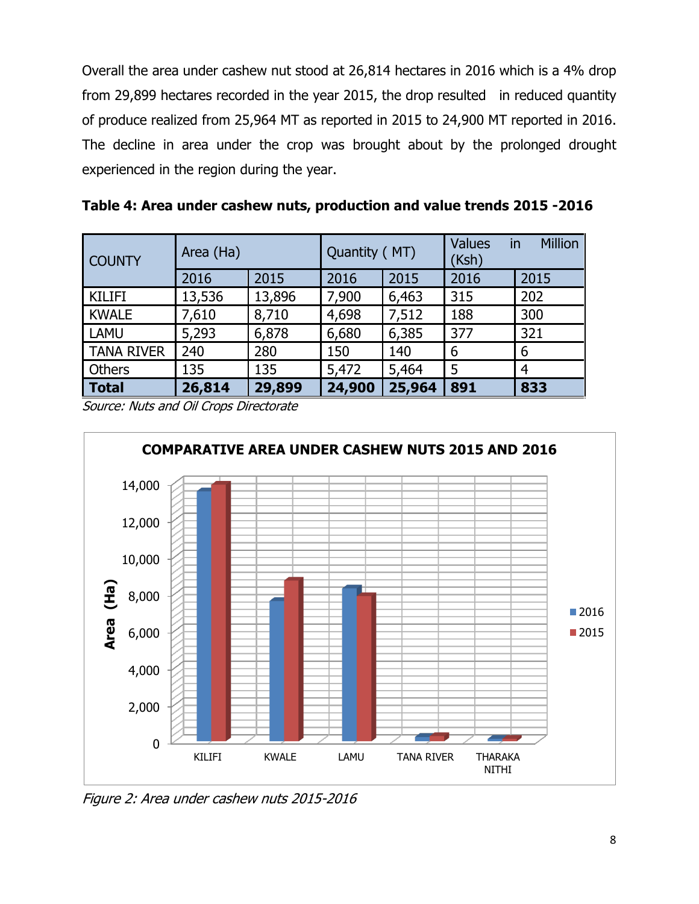Overall the area under cashew nut stood at 26,814 hectares in 2016 which is a 4% drop from 29,899 hectares recorded in the year 2015, the drop resulted in reduced quantity of produce realized from 25,964 MT as reported in 2015 to 24,900 MT reported in 2016. The decline in area under the crop was brought about by the prolonged drought experienced in the region during the year.

| <b>COUNTY</b>     | Area (Ha) |        | Quantity (MT) |        | <b>Values</b><br>(Ksh) | <b>Million</b><br>in |
|-------------------|-----------|--------|---------------|--------|------------------------|----------------------|
|                   | 2016      | 2015   | 2016          | 2015   | 2016                   | 2015                 |
| <b>KILIFI</b>     | 13,536    | 13,896 | 7,900         | 6,463  | 315                    | 202                  |
| <b>KWALE</b>      | 7,610     | 8,710  | 4,698         | 7,512  | 188                    | 300                  |
| <b>LAMU</b>       | 5,293     | 6,878  | 6,680         | 6,385  | 377                    | 321                  |
| <b>TANA RIVER</b> | 240       | 280    | 150           | 140    | 6                      | 6                    |
| Others            | 135       | 135    | 5,472         | 5,464  | 5                      | $\overline{4}$       |
| <b>Total</b>      | 26,814    | 29,899 | 24,900        | 25,964 | 891                    | 833                  |

<span id="page-8-0"></span>**Table 4: Area under cashew nuts, production and value trends 2015 -2016**

Source: Nuts and Oil Crops Directorate



<span id="page-8-1"></span>Figure 2: Area under cashew nuts 2015-2016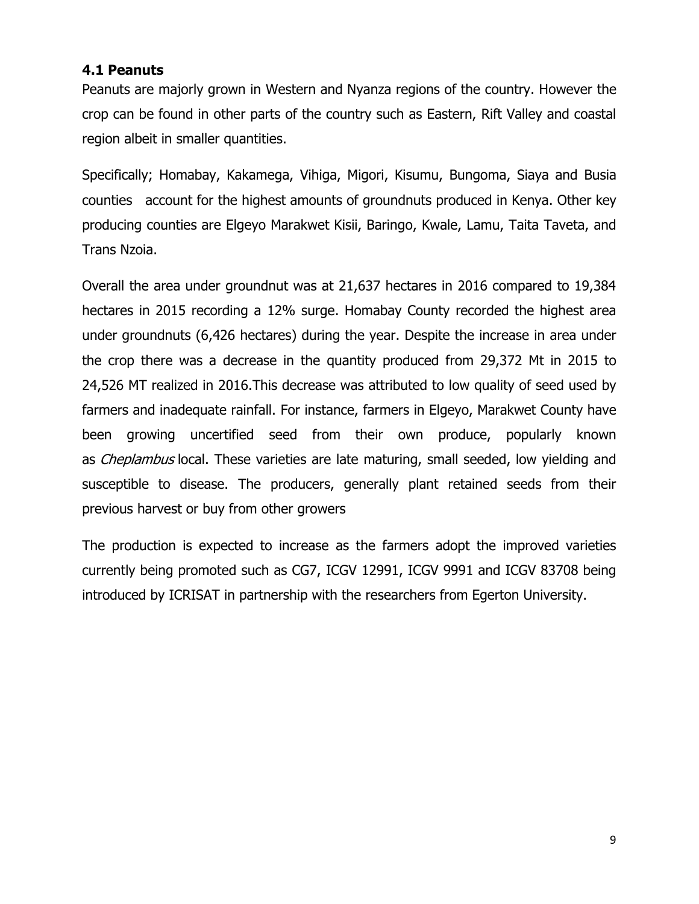#### <span id="page-9-0"></span>**4.1 Peanuts**

Peanuts are majorly grown in Western and Nyanza regions of the country. However the crop can be found in other parts of the country such as Eastern, Rift Valley and coastal region albeit in smaller quantities.

Specifically; Homabay, Kakamega, Vihiga, Migori, Kisumu, Bungoma, Siaya and Busia counties account for the highest amounts of groundnuts produced in Kenya. Other key producing counties are Elgeyo Marakwet Kisii, Baringo, Kwale, Lamu, Taita Taveta, and Trans Nzoia.

Overall the area under groundnut was at 21,637 hectares in 2016 compared to 19,384 hectares in 2015 recording a 12% surge. Homabay County recorded the highest area under groundnuts (6,426 hectares) during the year. Despite the increase in area under the crop there was a decrease in the quantity produced from 29,372 Mt in 2015 to 24,526 MT realized in 2016.This decrease was attributed to low quality of seed used by farmers and inadequate rainfall. For instance, farmers in Elgeyo, Marakwet County have been growing uncertified seed from their own produce, popularly known as *Cheplambus* local. These varieties are late maturing, small seeded, low yielding and susceptible to disease. The producers, generally plant retained seeds from their previous harvest or buy from other growers

<span id="page-9-1"></span>The production is expected to increase as the farmers adopt the improved varieties currently being promoted such as CG7, ICGV 12991, ICGV 9991 and ICGV 83708 being introduced by ICRISAT in partnership with the researchers from Egerton University.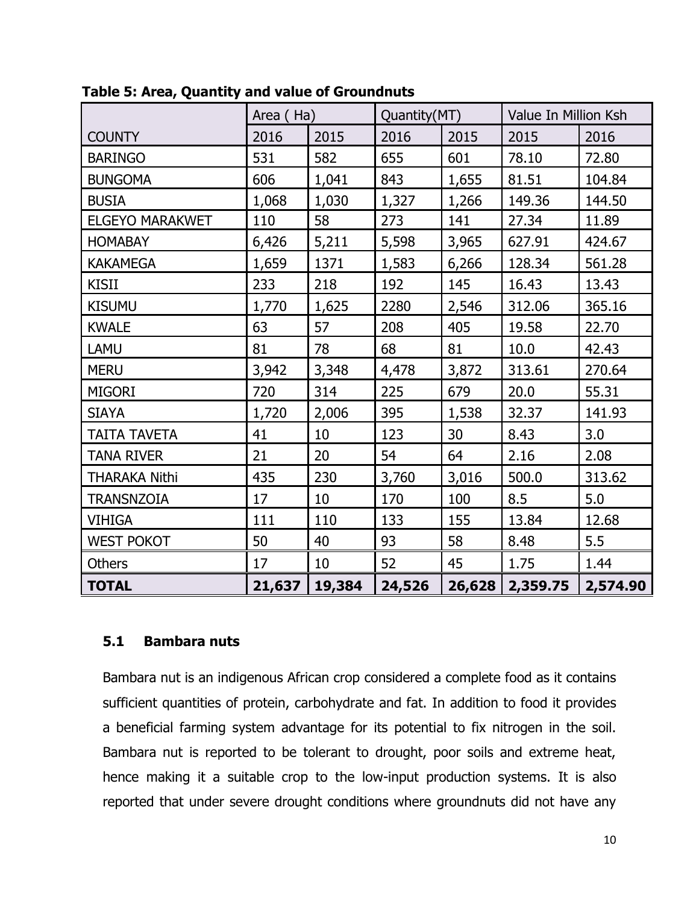|                        | Area (Ha) |        | Quantity(MT) |        | Value In Million Ksh |          |
|------------------------|-----------|--------|--------------|--------|----------------------|----------|
| <b>COUNTY</b>          | 2016      | 2015   | 2016         | 2015   | 2015                 | 2016     |
| <b>BARINGO</b>         | 531       | 582    | 655          | 601    | 78.10                | 72.80    |
| <b>BUNGOMA</b>         | 606       | 1,041  | 843          | 1,655  | 81.51                | 104.84   |
| <b>BUSIA</b>           | 1,068     | 1,030  | 1,327        | 1,266  | 149.36               | 144.50   |
| <b>ELGEYO MARAKWET</b> | 110       | 58     | 273          | 141    | 27.34                | 11.89    |
| <b>HOMABAY</b>         | 6,426     | 5,211  | 5,598        | 3,965  | 627.91               | 424.67   |
| <b>KAKAMEGA</b>        | 1,659     | 1371   | 1,583        | 6,266  | 128.34               | 561.28   |
| <b>KISII</b>           | 233       | 218    | 192          | 145    | 16.43                | 13.43    |
| <b>KISUMU</b>          | 1,770     | 1,625  | 2280         | 2,546  | 312.06               | 365.16   |
| <b>KWALE</b>           | 63        | 57     | 208          | 405    | 19.58                | 22.70    |
| LAMU                   | 81        | 78     | 68           | 81     | 10.0                 | 42.43    |
| <b>MERU</b>            | 3,942     | 3,348  | 4,478        | 3,872  | 313.61               | 270.64   |
| <b>MIGORI</b>          | 720       | 314    | 225          | 679    | 20.0                 | 55.31    |
| <b>SIAYA</b>           | 1,720     | 2,006  | 395          | 1,538  | 32.37                | 141.93   |
| <b>TAITA TAVETA</b>    | 41        | 10     | 123          | 30     | 8.43                 | 3.0      |
| <b>TANA RIVER</b>      | 21        | 20     | 54           | 64     | 2.16                 | 2.08     |
| <b>THARAKA Nithi</b>   | 435       | 230    | 3,760        | 3,016  | 500.0                | 313.62   |
| <b>TRANSNZOIA</b>      | 17        | 10     | 170          | 100    | 8.5                  | 5.0      |
| <b>VIHIGA</b>          | 111       | 110    | 133          | 155    | 13.84                | 12.68    |
| <b>WEST POKOT</b>      | 50        | 40     | 93           | 58     | 8.48                 | 5.5      |
| Others                 | 17        | 10     | 52           | 45     | 1.75                 | 1.44     |
| <b>TOTAL</b>           | 21,637    | 19,384 | 24,526       | 26,628 | 2,359.75             | 2,574.90 |

**Table 5: Area, Quantity and value of Groundnuts**

#### **5.1 Bambara nuts**

Bambara nut is an indigenous African crop considered a complete food as it contains sufficient quantities of protein, carbohydrate and fat. In addition to food it provides a beneficial farming system advantage for its potential to fix nitrogen in the soil. Bambara nut is reported to be tolerant to drought, poor soils and extreme heat, hence making it a suitable crop to the low-input production systems. It is also reported that under severe drought conditions where groundnuts did not have any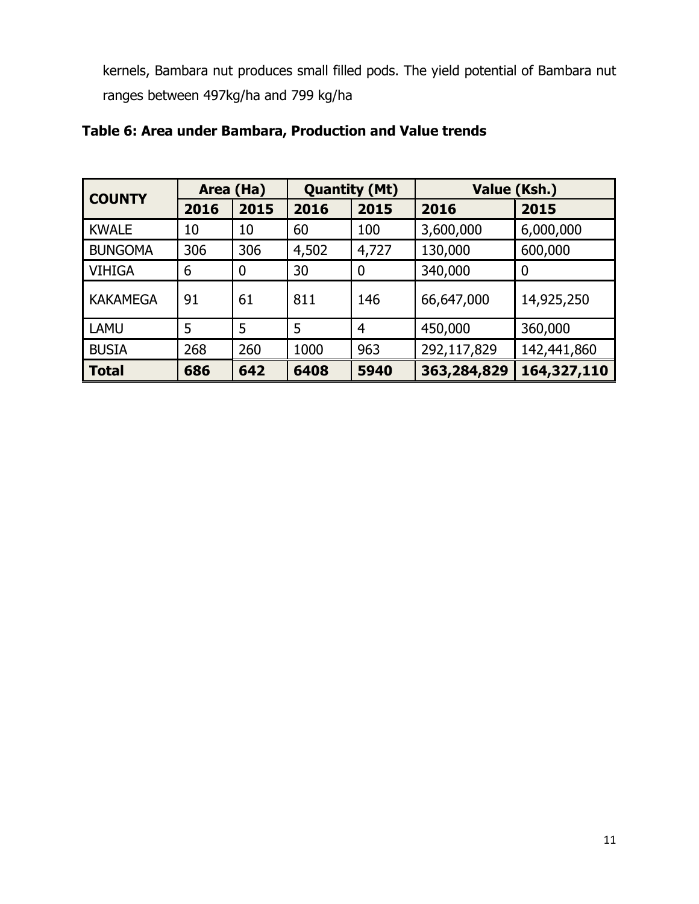kernels, Bambara nut produces small filled pods. The yield potential of Bambara nut ranges between 497kg/ha and 799 kg/ha

| <b>COUNTY</b>   | Area (Ha) |      | <b>Quantity (Mt)</b> |                | Value (Ksh.) |             |  |
|-----------------|-----------|------|----------------------|----------------|--------------|-------------|--|
|                 | 2016      | 2015 | 2016                 | 2015           | 2016         | 2015        |  |
| <b>KWALE</b>    | 10        | 10   | 60                   | 100            | 3,600,000    | 6,000,000   |  |
| <b>BUNGOMA</b>  | 306       | 306  | 4,502                | 4,727          | 130,000      | 600,000     |  |
| <b>VIHIGA</b>   | 6         | 0    | 30                   | 0              | 340,000      | 0           |  |
| <b>KAKAMEGA</b> | 91        | 61   | 811                  | 146            | 66,647,000   | 14,925,250  |  |
| <b>LAMU</b>     | 5         | 5    | 5                    | $\overline{4}$ | 450,000      | 360,000     |  |
| <b>BUSIA</b>    | 268       | 260  | 1000                 | 963            | 292,117,829  | 142,441,860 |  |
| <b>Total</b>    | 686       | 642  | 6408                 | 5940           | 363,284,829  | 164,327,110 |  |

## <span id="page-11-0"></span>**Table 6: Area under Bambara, Production and Value trends**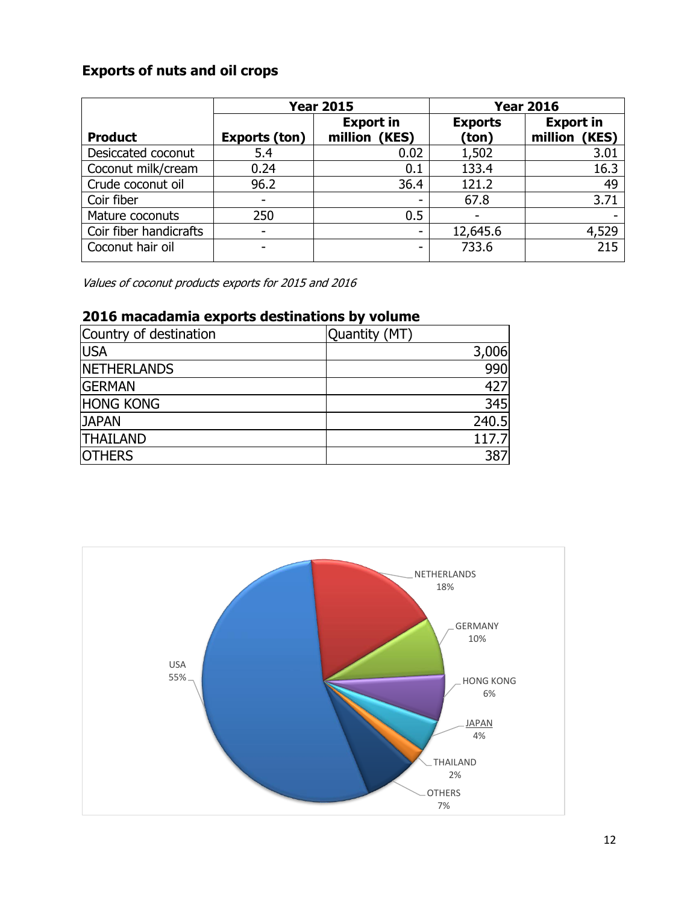## **Exports of nuts and oil crops**

<span id="page-12-0"></span>

|                        |               | <b>Year 2015</b>                  |                         | <b>Year 2016</b>                  |
|------------------------|---------------|-----------------------------------|-------------------------|-----------------------------------|
| <b>Product</b>         | Exports (ton) | <b>Export in</b><br>million (KES) | <b>Exports</b><br>(ton) | <b>Export in</b><br>million (KES) |
|                        |               |                                   |                         |                                   |
| Desiccated coconut     | 5.4           | 0.02                              | 1,502                   | 3.01                              |
| Coconut milk/cream     | 0.24          | 0.1                               | 133.4                   | 16.3                              |
| Crude coconut oil      | 96.2          | 36.4                              | 121.2                   | 49                                |
| Coir fiber             |               |                                   | 67.8                    | 3.71                              |
| Mature coconuts        | 250           | 0.5                               |                         |                                   |
| Coir fiber handicrafts |               | -                                 | 12,645.6                | 4,529                             |
| Coconut hair oil       |               | -                                 | 733.6                   | $\overline{215}$                  |

Values of coconut products exports for 2015 and 2016

## **2016 macadamia exports destinations by volume**

| Country of destination | Quantity (MT) |
|------------------------|---------------|
| <b>USA</b>             | 3,006         |
| <b>NETHERLANDS</b>     | 990           |
| <b>GERMAN</b>          | 427           |
| <b>HONG KONG</b>       | 345           |
| <b>JAPAN</b>           | 240.5         |
| <b>THAILAND</b>        | 117.7         |
| <b>OTHERS</b>          | 387           |

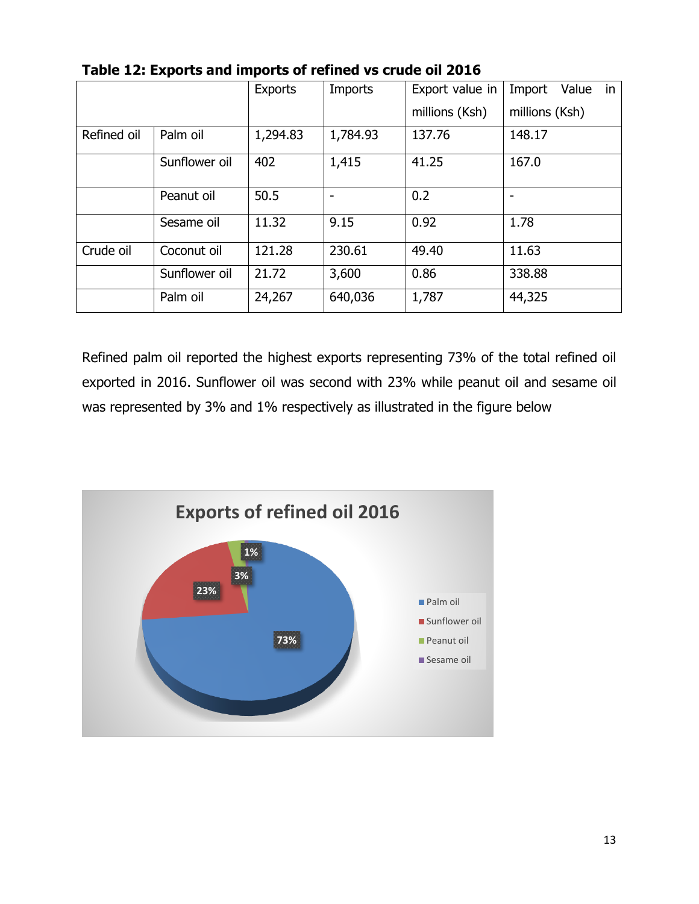|             |               | <b>Exports</b> | Imports  | Export value in | in<br>Value<br>Import |
|-------------|---------------|----------------|----------|-----------------|-----------------------|
|             |               |                |          | millions (Ksh)  | millions (Ksh)        |
| Refined oil | Palm oil      | 1,294.83       | 1,784.93 | 137.76          | 148.17                |
|             | Sunflower oil | 402            | 1,415    | 41.25           | 167.0                 |
|             | Peanut oil    | 50.5           |          | 0.2             |                       |
|             | Sesame oil    | 11.32          | 9.15     | 0.92            | 1.78                  |
| Crude oil   | Coconut oil   | 121.28         | 230.61   | 49.40           | 11.63                 |
|             | Sunflower oil | 21.72          | 3,600    | 0.86            | 338.88                |
|             | Palm oil      | 24,267         | 640,036  | 1,787           | 44,325                |

<span id="page-13-0"></span>

Refined palm oil reported the highest exports representing 73% of the total refined oil exported in 2016. Sunflower oil was second with 23% while peanut oil and sesame oil was represented by 3% and 1% respectively as illustrated in the figure below

<span id="page-13-1"></span>